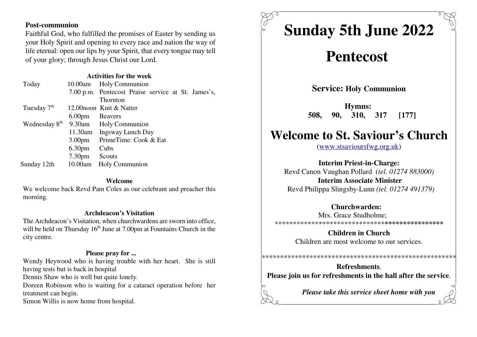### **Post-communion**

 Faithful God, who fulfilled the promises of Easter by sending us your Holy Spirit and opening to every race and nation the way of life eternal: open our lips by your Spirit, that every tongue may tellof your glory; through Jesus Christ our Lord.

### **Activities for the week**

| Today                   | 10.00am            | Holy Communion                                     |
|-------------------------|--------------------|----------------------------------------------------|
|                         |                    | 7.00 p.m. Pentecost Praise service at St. James's, |
|                         |                    | Thornton                                           |
| Tuesday 7 <sup>th</sup> |                    | 12.00 noon Knit & Natter                           |
|                         | 6.00 <sub>pm</sub> | <b>Beavers</b>                                     |
| Wednesday $8th$         | 9.30am             | <b>Holy Communion</b>                              |
|                         |                    | 11.30am Ingsway Lunch Day                          |
|                         | 3.00 <sub>pm</sub> | PrimeTime: Cook & Eat                              |
|                         | 6.30 <sub>pm</sub> | Cubs                                               |
|                         | 7.30 <sub>pm</sub> | Scouts                                             |
| Sunday 12th             | 10.00am            | Holy Communion                                     |
|                         |                    |                                                    |

### **Welcome**

 We welcome back Revd Pam Coles as our celebrant and preacher thismorning.

### **Archdeacon's Visitation**

 The Archdeacon's Visitation, when churchwardens are sworn into office,will be held on Thursday  $16<sup>th</sup>$  June at 7.00pm at Fountains Church in the city centre.

### **Please pray for ...**

 Wendy Heywood who is having trouble with her heart. She is stillhaving tests but is back in hospital

Dennis Shaw who is well but quite lonely.

 Doreen Robinson who is waiting for a cataract operation before hertreatment can begin.

Simon Willis is now home from hospital.

# **Sunday 5th June 2022**

## **Pentecost**

**Service: Holy Communion**

**Hymns: 508, 90, 310, 317 [177]** 

## **Welcome to St. Saviour's Church**

(www.stsavioursfwg.org.uk)

**Interim Priest-in-Charge:** Revd Canon Vaughan Pollard (*tel. 01274 883000)***Interim Associate Minister**Revd Philippa Slingsby-Lunn *(tel. 01274 491379)*

### **Churchwarden:**

 Mrs. Grace Studholme; \*\*\*\*\*\*\*\*\*\*\*\*\*\*\*\*\*\*\*\*\*\*\*\*\*\*\*\*\*\***\*\*\*\*\*\*\*\*\*\*\*\*\*\*\*\***

> **Children in Church**Children are most welcome to our services.

### **Refreshments**.**Please join us for refreshments in the hall after the service**.

\*\*\*\*\*\*\*\*\*\*\*\*\*\*\*\*\*\*\*\*\*\*\*\*\*\*\*\*\*\*\*\*\*\*\*\*\*\*\*\*\*\*\*\*\*\*\*\*\*\*\*\*\*

*Please take this service sheet home with you*